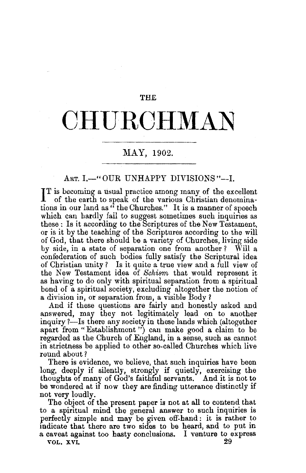THE

## **CHURCHMAN**

## MAY, 1902.

## ART. I.-" OUR UNHAPPY DIVISIONS"--I.

IT is becoming a usual practice among many of the excellent of the earth to speak of the various Christian denominaof the earth to speak of the various Christian denominations in our land as" the Churches." It is a manner of speech which can hardly fail to suggest sometimes such inquiries as these: Is it according to the Scriptures of the New Testament, or is it by the teaching of the Scriptures according to the will of God, that there should be a variety of Churches, living side by side, in a state of separation one from another? Will a confederation of such bodies fully satisfy the Scriptural idea of Christian unity? Is it quite a true view and a full view of the New Testament idea of *Schism,* that would represent it as having to do only with spiritual separation from a spiritual bond of a spiritual society, excluding altogether the notion of a division in, or separation from, a visible Body?

And if these questions are fairly and honestly asked and answered, may they not legitimately lead on to another inquiry ?-Is there any society in these lands which (altogether apart from" Establishment") can make good a claim to be regarded as the Church of England, in a sense, such as cannot in strictness be applied to other so-called Churches which live round about?

There is evidence, we believe, that such inquiries have been long, deeply if silently, strongly if quietly, exercising the thoughts of many of God's faithful servants. And it is not to be wondered at if now they are finding utterance distinctly if not very loudly.

The object of the present paper is not at all to contend that to a spiritual mind the general answer to such inquiries is perfectly simple and may be given ofl'-hand : it is rather to indicate that there are two sides to be heard, and to put in a caveat against too hasty conclusions. I venture to express vol. XVI.  $29$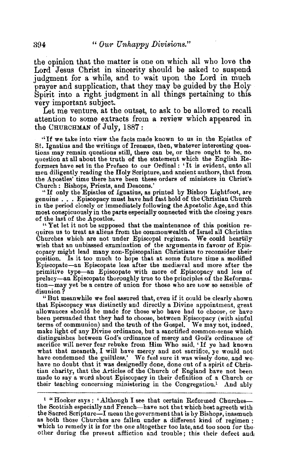the opinion that the matter is one on which all who love the Lord Jesus Christ in sincerity should be asked to suspend judgment for a while, and to wait upon the Lord in much prayer and supplication, that they may be guided by the Holy Spirit into a right judgment in all things pertaining to this very important subject.

Let me venture, at the outset, to ask to be allowed to recall attention to some extracts from a review which appeared in. the CHURCHMAN of July, 1887:

''If we take into view the facts made known to us in the Epistles of St. Ignatius and the writings of Iremeus, then, whatever interesting ques· question at all about the truth of the statement which the English Reformers have set in the Preface to our Ordinal : 'It is evident, unto all men diligently reading the Holy Scripture, and ancient authors, that from the Apostles' time there have been these orders of ministers in Christ's. Church : Bishops, Priests, and Deacons.'

"If only the Epistles of Ignatius, as printed by Bishop Lightfoot, are genuine .•• Episcopacy must have had fast hold of the Christian Church in the period closely or immediately following the Apostolic Age, and this most conspicuously in the parts especially connected with the closing years of the last of the Apostles.<br>"Yet let it not be supposed that the maintenance of this position re-

quires us to treat as aliens from the commonwealth of Israel all Christian Churches which are not under Episcopal regimen. We could heartily wish that an unbiassed examination of the arguments in favour of Episcopacy might lead many non-Episcopalian Christians to reconsider their position. Is it too much to hope that at some future time a modified Episcopate-an Episcopate less after the medizeval and more after the primitive type-an Episcopate with more of Episcopacy and less of prelacy-an Episcopate thoroughly true to the principles of the Reformation-may yet be a centre of union for those who are now so sensible ofdisunion?

"But meanwhile we feel assured that, even if it could be clearly shown that Episcopacy was distinctly and directly a Divine appointment, great allowances should be made for those who have bad to choose, or have been persuaded that they had to choose, between Episcopacy (with sinful terms of communion) and the truth of the Gospel. We may not, indeed,. make light of any Divine ordinance, but a sanctified common-sense which distinguishes between God's ordinance of mercy and God's ordinance of sacrifice will never fear rebuke from Him Who said, ' If ye bad known what that meaneth, I will have mercy and not sacrifice, ye would not have condemned the guiltless.' We feel sure it was wisely done, and we-<br>have no doubt that it was designedly done, done out of a spirit of Christian charity, that the Articles of the Church of England have not been made to say a word about Episcopacy in their definition of a Church or their teaching concerning ministering in the Congregation.<sup>1</sup> And ably

<sup>1</sup> "Hooker says : 'Although I see that certain Reformed Churchesthe Scottish especially and French-have not that which best agreeth with the Sacred Scripture-I mean the government that is by Bishops, inasmuch as both those Churches are fallen under a different kind of regimen; which to remedy it is for the one altogether too late, and too soon for the other during the present affliction and trouble; this their defect and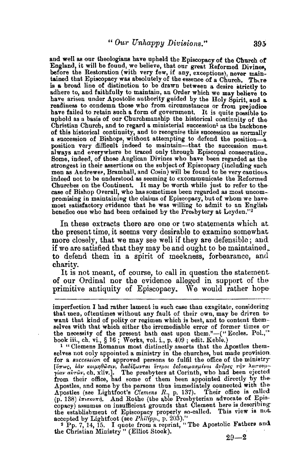and well as our theologians have upheld the Episcopacy of the Church of England, it will be found, we believe, that our great Reformed Divines, before the Restoration (with very few, if any, exceptions), never maintained that Episcopacy was absolutely of the essence of a Church. There is a broad line of distinction to be drawn between a desire strictly to adhere to, and faithfully to maintain, an Order which we may believe to. have arisen under Apostolic authority guided by the Holy Spirit, and a readiness to condemn those who from circumstances or from prejudice have failed to retain such a form of government. It is quite possible to uphold as a basis of our Churchmanship the historical continuity of the Christian Church, and to regard a ministerial succession<sup>1</sup> as the backbone of this historical continuity, and to recognise this succession as normally a succession of Bishops, without attempting to defend the position-a. position very difficult indeed to maintain--that the succession must. always and everywhere be traced only through Episcopal consecration. Some, indeed, of those Anglican Divines who have been regarded as the men as Andrewer, Bramhall, and Cosin) will be found to be very cautious. indeed not to he understood as seeming to excommunicate the Reformed Churches on the Continent. It may be worth while just to refer to the-case of Bishop Overall, who has sometimes been regarded as most uncom-<br>promising in maintaining the claims of Episcopacy, but of whom we have. most satisfactory evidence that he was willing to admit to an English benefice one who had been ordained by the Presbytery at Leyden."<sup>2</sup>

In these extracts there are one or two statements which at the present time, it seems very desirable to examine somewhat more closely, that we may see well if they are defensible; and if we are satisfied that they may be and ought to be maintained,. to defend them in a spirit of meekness, forbearance, and charity.

It is not meant, of course, to call in question the statement. of our Ordinal nor the evidence alleged in support of the primitive antiquity of Episcopacy. We would rather hope-

<sup>1</sup> " Clemens Romanus most distinctly asserts that the Apostles themselves not only appointed a ministry in the churches, but made provision. for a *succession* of approved persons to fulfil the office of the ministry [lhrw~, Mv *ICOifi.rJ(}wutv, BtaOE/;wvrat* ~TEpOI *Beoo"'"aup{vo•* avoper; rl}v A€tT0Vp-*yiav aim1Jv,* cb. xliv.]. The presbyters at Corinth, who had been ejected from their office, had some of them been appointed directly by the Apostles, and some by the persons thus immediately connected with the Apostles {see Lightfoot's *Clemens R.,* p. 137). Their office is called (p. 138) *lniosonn*, And Rothe (the able Presbyterian advocate of Episcopacy) assumes on insufficient grounds that Clement here is describing the establishment of Episcopacy properly so-called. This view is not accepted by Lightfoot (see  $Philipp$ ., p. 203)."

<sup>2</sup> Pp. 7, 14, 15. I quote from a reprint, "The Apostolic Fathers and the Christian Ministry " (Elliot Stock).  $29-2$ 

imperfection I had rather lament in such case than exagitate, considering that men, oftentimes without any fault of their own, may be driven to want that kind of polity or regimen which is best, and to content them-selves with that which either the irremediable error of former times or the necessity of the present hath cast upon them."-(" Eccles. Pol.," book iii., ch. vi., § 16; Works, vol. i., p. 409; edit. Keble.)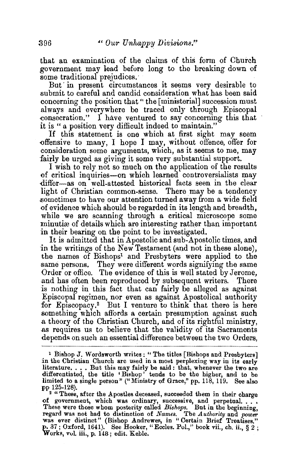that an examination of the claims of this form of Church government may lead before long to the breaking down of some traditional prejudices.

But in present circumstances it seems very desirable to submit to careful and candid consideration what has been said concerning the position that" the [ministerial] succession must always and everywhere be traced only through Episcopal consecration." I have ventured to say concerning this that it is "a position very difficult indeed to maintain."

If this statement is one which at first sight may seem offensive to many, I hope I may, without offence, offer for consideration some arguments, which, as it seems to me, may fairly be urged as giving it some very substantial support.

I wish to rely not so much on the application of the results of critical inquiries-on which learned controversialists may differ-as on well-attested historical facts seen in the clear light of Christian common-sense. There may be a tendency .sometimes to have our attention turned away from a wide field of evidence which should be regarded in its length and breadth, while we are scanning through a critical microscope some minutiæ of details which are interesting rather than important in their bearing on the point to be investigated.

It is admitted that in Apostolic and sub-Apostolic times, and in the writings of the New Testament (and not in these alone), the names of Bishops<sup>1</sup> and Presbyters were applied to the same persons. They were different words signifying the same Order or office. The evidence of this is well stated by Jerome, and has often been reproduced by subsequent writers. There is nothing in this fact that can fairly be alleged as against Episcopal regimen, nor even as against Apostolical authority for Episcopacy.<sup>2</sup> But I venture to think that there is here something which affords a certain presumption against such .a theory of the Christian Church, and of its rightful ministry, .as requires us to believe that the validity of its Sacraments depends on such an essential difference between the two Orders,

<sup>&</sup>lt;sup>1</sup> Bishop J. Wordsworth writes: "The titles [Bishops and Presbyters] in the Christian Church are used in a most perplexing way in its early literature. ... But this may fairly be said: that, whenever the two are differentiated, the title 'Bishop' tends to be the higher, and to be limited to a single person" ("Ministry of Grace," pp. 118, 119. See also pp 125-128).

<sup>&</sup>lt;sup>2</sup> "These, after the Apostles deceased, succeeded them in their charge These, arter the Apostres deceased, successive, and perpetual . . . , These were those whom posterity called *Bishops*. But in the beginning, regard was not had to distinction of *Names.* The *Authority* and *power* was ever distinct" (Bishop Andrewes, in " Certain Brief Treatises," p. 37 ; Oxford, 1641). `See Hooker, "Eccles. Pol.," book vii., ch. ii., § 2 ;<br>Works, vol. iii., p. 148 ; edit. Keble.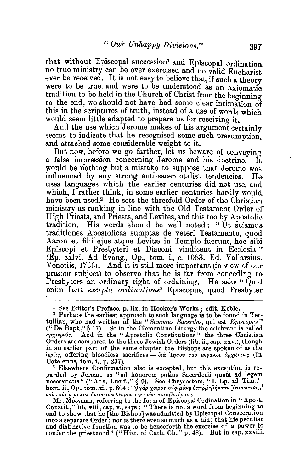that without Episcopal succession<sup>1</sup> and Episcopal ordination. no true ministry can be ever exercised and no valid Eucharist. ever be received. It is not easy to believe that, if such a theory were to be true, and were to be understood as an axiomatic tradition to be held in the Church of Christ from the beginning to the end, we should not have had some clear intimation of this in the scriptures of truth, instead of a use of words which would seem little adapted to prepare us for receiving it.

And the use which Jerome makes of his argument certainly seems to indicate that he recognised some such presumption. and attached some considerable weight to it.

But now, before we go farther, let us beware of conveying a false impression concerning Jerome and his doctrine. It would be nothing but a mistake to suppose that Jerome was influenced by any strong anti-sacerdotalist tendencies. He uses languages which the earlier centuries did not use, and which, I rather think, in some earlier centuries hardly would have been used.<sup>2</sup> He sets the threefold Order of the Christian ministry as ranking in line with the Old Testament Order of High Priests, and Priests, and Levites, and this too by Apostolic tradition. His words should be well noted: "Ut sciamus traditiones Apostolicas sumptas de veteri Testamento, quod Aaron et filii ejus atque Levitæ in Templo fuerunt, hoc sibi Episcopi et Presbyteri et Diaconi vindicent in Ecclesia." (Ep. cxlvi. Ad Evang., Op., tom. i., c. 1083. Ed. Vallarsius. Venetiis, 1766). And it is still more important (in view of our present subject) to observe that he is far from conceding to Presbyters an ordinary right of ordaining. He asks "Quid enim facit *excepta ordinatione*<sup>3</sup> Episcopus, quod Presbyter

· 3 Elsewhere Confirmation also is excepted, but this exception is regarded by Jerome as "ad honorem potius Sacerdotii quam ad legem<br>necessitatis " ("Adv. Lucif.," § 9). See Chrysostom, "I. Ep. ad Tim.,"<br>hom.ii., Op., tom.xi., p. 604 : Τῢγάρ χειροτονία μόνη υπερβεβήκασι [επισκόποι]," **kal τούτφ μονον δοκδυσι πλεονεκτείν τούς πρεσβυτέρους.** 

<sup>&</sup>lt;sup>1</sup> See Editor's Preface, p. lix, in Hooker's Works; edit. Keble.<br><sup>2</sup> Perhaps the earliest approach to such language is to be found in Tertullian, who had written of the "Summus Sacerdos, qui est *Episcopus"* ("De Bapt.," § 17). So in the Clementine Liturgy the celebrant is called  $d\rho\chi\iota\epsilon\rho\epsilon\iota\iota\rho$ . And in the "Apostolic Constitutions" the three Christian And in the "Apostolic Constitutions" the three Christian Orders are compared to the three Jewish Orders (lib. ii., cap. xxv.), though in an earlier part of the same chapter the Bishops are spoken of as the iερέις, offering bloodless sacrifices - δια *Ιησ*όν του μεγάλου αρχιερέως (in Cotelerius, tom. i., p. 237).

Mr. Mossman, referring to the form of Episcopal Ordination in " Apost. Constit.," lib. viii., cap. v., says : "There is not a word from beginning to end to show that he [the Bishop] was admitted by Episcopal Consecration into a separate Order; nor is there even so much as a hint that his peculiar and distinctive function was to be henceforth the exercise of a power to confer the priesthood" ("Hist. of Cath. Ch.," p. 48). But in cap. xxviii.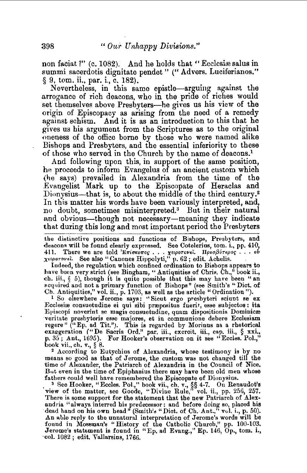non faciat ?" (c. 1082). And he holds that "Ecclesiae salus in summi sacerdotis dignitate pendet " (" Advers. Luciferianos." § 9, tom. ii., par. i., c. 182).

Nevertheless, in this same epistle-arguing against the arrogance of rich deacons, who in the pride of riches would set themselves above Presbyters—he gives us his view of the origin of Episcopacy as arising from the need of a remedy against schism. And it is as an introduction to this that he gives us his argument from the Scriptures as to the original oneness of the office borne by those who were named alike Bishops and Presbyters, and the essential inferiority to these of those who served in the Church by the name of deacons.<sup>1</sup>

And following upon this, in support of the same position, he proceeds to inform Evangelus of an ancient custom which (he says) prevailed in Alexandria from the time of the Evangelist Mark up to the Episcopate of Heraclas and Dionysius—that is, to about the middle of the third century.<sup>2</sup> In this matter his words have been variously interpreted, and, no doubt, sometimes misinterpreted.3 But in their natural and obvious-though not necessary-meaning they indicate that during this long and most important period the Presbyters

the distinctive positions and functions of Bishops, Presbyters, and deacons will be found clearly exprossed. See Cotelerius, tom. i., pp. 410, deacons will be found clearly expressed. See Cotelerius, tom. 1, pp. 410,<br>411. There we are told 'Επίσκοπος ... χειροτονεί. Πρεσβύτερος ... ου

*x*<sub>ε</sub> *indeprovel.* See also " Canones Hippolyti," p. 62; edit. Achelis.<br>Indeed, the regulation which confined ordination to Bishops appears to Indeed, the regulation which confined ordination to Bisbops appears to have been very strict (see Bingham, "Antiquities of Chris. Ch.," book ii., ch. iii.,  $\S$  5), though it is quite possible that this may have been "an acquired and not a primary function of Bishops" (see Smith's "Dict. of Cb. Antiquities," vol. ii., p. 1703, as well as the article "Ordination").

<sup>1</sup> So elsewhere Jerome says: "Sicut ergo presbyteri sciunt se ex<br>Ecclesire consuetudine ei qui sibi prrepositus fuerit, esse subjectos: ita Episcopi noverint se magis consuetudine, quam dispositionis Dominicæ veritate presbyteris esse majores, et in communione debere Ecclesiam regere" ("Ep. ad Tit."). This is regarded by Morinus as a rhetorical exaggeration *("De Sacris Ord." par. iii., exerestion*, § xxi., p. 35; Ant., 1695). For Hooker's observation on it see "Eccles. Pol.,"

book vii., ch. v., § 8.<br>2 According to Eutychius of Alexandria, whose testimony is by no<br>means so good as that of Jerome, the custom was not changed till the time of Alexander, the Patriareh of Alexandria in the Council of Nice. But even in the time of Epiphanius there may have been old men whose fathers could well have remembered the Episcopate of Dionysius.

. s See Hooker, "Eccles. Pol.," book vii., ch. v., §§ 4-7. On Renaudot's view of the matter, see Goode, "Divine Rule," vol. ii., pp. 256, 257. There is some support for the statement that the new Patriarch of Alexandria "always interred his predecessor: and before doing so, placed his dead hand on his own head" (Smith's "Dict. of Ch. Ant.," vul. i., p. 50). An able reply to the unnatural interpretation of Jerome's words will be found in Mossman's "History of the Catholic Church," pp. 100-103. Jerome's statement is found in "Ep. ad Evang.,'' Ep. 146, Op., tom. i., ·col. 1082; edit. Vallarsius, 1766.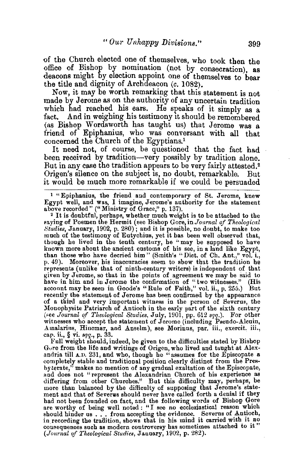of the Church elected one of themselves, who took then the office of Bishop by nomination (not by consecration) as deacons might by election appoint one of themselves to bear the title and dignity of Archdeacon  $(c, 1082)$ .

Now, it may be worth remarking that this statement is not made by Jerome as on the authority of any uncertain tradition which had reached his ears. He speaks of it simply as a fact. And in weighing his testimony it should be remembered (as Bishop Wordsworth bas taught us) that Jerome was a friend of Epiphanius, who was conversant with all that concerned the Church of the Egyptians.<sup>1</sup>

It need not, of course, be questioned that the fact had been received by tradition-very possibly by tradition alone. But in any case the tradition appears to be very fairly attested.<sup>2</sup> Origen's silence on the subject 1s, no doubt, remarkable. But it would be much more remarkable if we could be persuaded

<sup>I</sup>"Epiphanius, the friend and contemporary of St. Jerome, knew Egypt well, and was, I imagine, Jerome's authority for the statement

<sup>2</sup> It is doubtful, perhaps, whether much weight is to be attached to the faying of Poemen the Hermit (see Bishop Gore, in *Journal of Theological 8tudie8,* January, 1902, p. 280); and it is possible, no doubt, to make too much of the testimony of Eutychius, yet it bas been well observed that, though he lived in the tenth century, he "may be supposed to have known more about the ancient customs of his see, in a land like Egypt, than those who have decried him" (Smith'8 "Diet. of Ch. Ant.," vol. i., p. 49). Moreover, his inaccuracies seem to show that the tradition he represents (unlike that of ninth-century writers) is independent of that given by Jerome, so that in the points of agreement we may be said to have in him and in Jerome the confirmation of "two witnesses." (His account may be seen in Goode's "Rule of Faith," vol. ii., p. 255.) But recently the statement of Jerome has been confirmed by the appearance of a third and very important witness in the person of Severus, the Monophysite Patriarch of Antioch in the early part of the sixth century (see *Journal of Theological Studies*, July, 1901, pp. 612 *sqq.*). For other witnesses who accept the statement of Jerome (including Pseudo-Alcuin, Amalarius, Hincmar, and Anselm), see Morinus, par. iii., exercit. iii., cap. ii., §vi. *sqq.,* p. 33.

Full weight should, indeed, be given to the difficulties stated by Bishop Gore from the life and writings of Origen, who lived and taught at Alex-<br>andria till A.D. 231, and who, though he "assumes for the Episcopate a completely stable and traditional position clearly distinct from the Presbyterate," makes no mention of any gradual exaltation of the Episcopate, and does not "represent the Alexandrian Church of his experience as and does not "represent the Alexandrian Church of his experience as differing from other Churches." But this difficulty may, perhaps, be more than balanced by the difficulty of supposing that Jerome's statement and that of Severas should never have called forth a denial if they had not been founded on fact, and the following words of Bishop Gore are worthy of being well noted : "I see no ecclesiastical reason which should hinder us ... from accepting the evidence. Severns of Antioch, in recording the tradition, shows that in his mind it carried with it no. consequences such as modern controversy has sometimes attached to it" *(Journal of Theological Studies,* January, 1902, p. 282).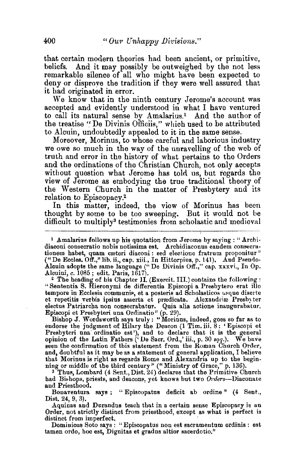that certain modern theories had been ancient, or primitive, And it may possibly be outweighed by the not less remarkable silence of all who might have been expected to deny or disproye the tradition if they were well assured that it had originated in error.

We know that in the ninth century Jerome's account was accepted and evidently understood in what I have ventured to call its natural sense by Amalarius.<sup>1</sup> And the author of the treatise "De Divinis Officiis," which used to be attributed to Alcuin, undoubtedly appealed to it in the same sense.

Moreover, Morinus, to whose careful and laborious industry we owe so much in the way of the unravelling of the web of truth and error in the history of what pertains to the Orders and the ordinations of the Christian Church, not only accepts without question what Jerome has told us, but regards the view of Jerome as embodying the true traditional theory of the Western Church in the matter of Presbytery and its relation to Episcopacy.2

In this matter, indeed, the view of Morinus has been thought by some to be too sweeping. But it would not be difficult to multiply<sup>3</sup> testimonies from scholastic and medieval

<sup>1</sup> Amalarius follows up his quotation from Jerome by saying: "Archi-diaconi consecratio nobis notissima est. Archidiaconus eandem consecrationem habet, quam cæteri diaconi: sed electione fratrum proponitur" ("De Eccles. Off.," lib. ii., cap. xiii., In Hittorpius, p. 141). And Pseudo-Alcuin adopts the same language (''De Divinis Off.," cap. xxxvi., In Op.

Alcuini, c. 1085 ; edit. Paris, 1617). 2 The heading of his Chapter II. (Exercit. III.) contains the following : "Sententia 8. Hieronymi de differentia Episcopi a Presbytero erat illo tempore in Ecclesia communis, et a posteris ad Scholasticos usque diserte et repetitis verbis ipsius asserta et prædicata. Alexandriæ Presbyter electus Patriarcha non consecrabatur. Quia alia actione inaugurabatur. Episcopi et Presbyteri una Ordinatio" (p. 29). Bishop J. Wordsworth says truly: "Morinus, indeed, goes so far as to

endorse the judgment of Hilary the Deacon (1 Tim. iii. 8: 'Episcopi et Presbyteri una ordinatio est'), and to declare that it is the general opinion of the Latin Fathers (' De Sacr. Ord.,' iii., p. 30 *sqq.*). We bave seen the confirmation of this statement from the Roman Church Order, and, doubtful as it may be as a statement of general application, I believe that Morinus is right as regards Rome and Alexandria up to the begin-

ning or middle of the third century" ("Ministry of Grace," p. 136).<br><sup>3</sup> Thus, Lombard (4 Sent., Dist. 24) declares that the Primitive Church had Bishops, priests, and deacons, yet knows but two  $Orders$ -Diaconate and Priesthood.

Bonaventura says : "Episcopatus deficit ab ordine" (4 Sent., Dist. 24, 9, 3).<br>Aquinas and Durandus teach that in a certain sense Episcopacy is an

Order, not strictly distinct from priesthood, except as what is perfect is distinct from imperfect.

Dominicus Soto says : "Episcopatus non est sacramentum ordinis : est tamen ordo, hoc est, Dignitas et gradus altior sacerdotio."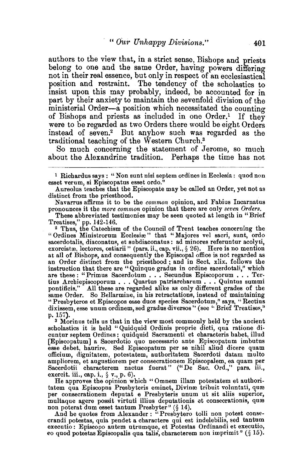authors to the view that, in a strict sense, Bishops and priests belong to one and the same Order, having powers differing not in their real essence, but only in respect of an ecclesiastical position and restraint. The tendency of the scholastics to msist upon this may probably, mdeed, be accounted for in part by their anxiety to maintain the sevenfold division of the ministerial Order-a position which necessitated the counting of Bishops and priests as included in one Order.<sup>1</sup> If they were to be regarded as two Orders there would be eight Orders instead of seven.2 But anyhow such was regarded as the traditional teaching of the Western Church.3

So much concerning the statement of Jerome, so much about the Alexandrine tradition. Perhaps the time has not

Navarrus affirms it to be the *common* opinion, and Fabius lncarnatus pronounces it the *more common* opinion that there are only *seven Orders.* 

These abbreviated testimonies may be seen quoted at length in "Brief

<sup>2</sup> Thus, the Catechism of the Council of Trent teaches concerning the "Ordines Ministrorum Ecclesiæ" that "Majores vel sacri, sunt, ordo sacerdotalis, diaconatus, et subdiaconatus: ad minores referuntur acolyti, exorcistæ, lectores, ostiarii" (pars. ii., cap. vii.,  $\S 26$ ). Here is no mention at all of Bishops, and consequently the Episcopal office is not regarded as an Order distinct from the priesthood; and in Sect. xlix. follows the instruction that there are "Quinque gradus in ordine sacerdotali," which are these : "Primus Sacerdotum . . . Secundus Episcoporum . . . Tertius Archiepiscoporum . . . Quartus patriarcharum . . . Quintus summi pontificis." A.ll these are regarded alike as only different grades of the same Order. So Bellarmine, in his retractations, instead of maintaining "Presbyteros et Episcopos esse duos species Sacerdotum," says, "Rectius dixissem, esse unum ordinem, sed gradus diversos" (see "Brief Treatises," p. 157).

a Morinus tells us that in the view most commonly held by the ancient scholastics it is held "Quidquid Ordinis proprie dicti, qua ratione dicuntur septem Ordines: quidquid Sacramenti et characteris habet, illud esse debet, haurire. Sed Episcopatum per se nihil aliud dicere quam officium, dignitatem, potestatem, authoritatem Sacerdoti datam multo ampliorem, et augustiorem per consecrationem Episcopalem, ea quam per Sacerdotii characterem nactus fuerat" ("De Sac. Ord.," pars. iii., exercit. iii., cap. i., § v., p. 6).

He approves the opinion which "Omnem illam potestatem et authoritatem qua Episcopus Presbyteris eminet, Divinæ tribuit voluntati, quæ per consecrationem deputat e Presbyteris unum ut sit aliis superior, multaque agere possit virtuti illius deputationis et consecrationis, qure

non poterat dum esset tantum Presbyter" (§ 14).<br>And he quotes from Alexander : "Presbytero tolli non potest conse-And he quotes from Alexander : "Presbytero tolli non potest conse-<br>crandi potestas, quia pendet a charactere qui est indelebilis, sed tantum executio: Episcopo autem utrumque, et Potestas Ordinandi et executio, eo quod potestas Episcopalis qua talili', characterem non imprimit" (§ 15).

<sup>&</sup>lt;sup>1</sup> Richardus says: "Non sunt nisi septem ordines in Ecclesia: quod non esset verum, si Episcopatus esset ordo."

Aureolus teaches that the Episcopate may be called an Order, yet not as distinct from the priesthood.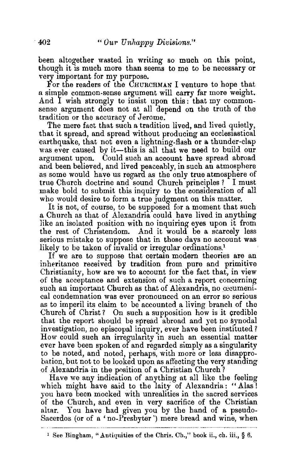been altogether wasted in writing so much on this point, though it is much more than seems to me to be necessary or very important for my purpose.

For the readers of the CHURCHMAN I venture to hope that a simple common-sense argument will carry far more weight. And I wish strongly to insist upon this: that my commonsense argument does not at all depend on the truth of the tradition or the accuracy of Jerome.

The mere fact that such a tradition lived, and lived quietly, that it spread, and spread without producing an ecclesiastical earthquake, that not even a lightning-flash or a thunder-clap was ever caused by it—this is all that we need to build our argument upon. Could such an account have spread abroad and been believed, and lived peaceably, in such an atmosphere as some would have us regard as the only true atmosphere of true Church doctrine and sound Church principles? I must make bold to submit this inquiry to the consideration of all who would desire to form a true judgment on this matter.

It is not, of course, to be supposed for a moment that such a Church as that of Alexandria could have lived in anything like an isolated position with no inquiring eyes upon it from the rest of Christendom. And it would be a scarcely less serious mistake to suppose that in those days no account was likely to be taken of invalid or irregular ordinations.<sup>1</sup>

If we are to suppose that certain modern theories are an inheritance received by tradition from pure and primitive Christianity, how are we to account for the fact that, in view of the acceptance and extension of such a report concerning such an important Church as that of Alexandria, no cecumenical condemnation was ever pronounced on an error so serious as to imperil its claim to be accounted a living branch of the Church of Christ ? On such a supposition how is it credible that the report should be spread abroad and yet no synodal investigation, no episcopal inquiry, ever have been instituted? How could such an irregularity in such an essential matter ever have been spoken of and regarded simply as a singularity to be noted, and noted, perhaps, with more or less disapprobation, but not to be looked upon as affecting the very standing of Alexandria in the position of a Christian Church?

Have we any indication of anything at all like the feeling which might have said to the laity of Alexandria: "Alas! you have been mocked with unrealities in the sacred services of the Church, and even in very sacrifice of the Christian altar. You have had given you by the hand of a pseudo-Sacerdos (or of a' no-Presbyter') mere bread and wine, when

<sup>&</sup>lt;sup>1</sup> See Bingham, "Antiquities of the Chris. Ch.," book ii., ch. iii., § 6.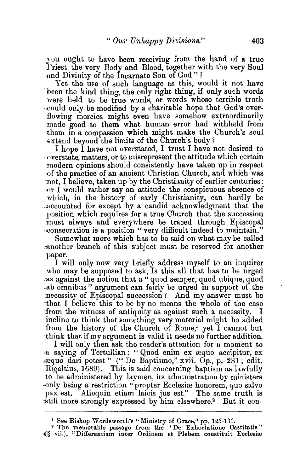:you ought to have been receiving from the hand of a true l'riest the very Body and Blood, together with the very Soul and Divinity of the Incarnate Son of God"?

Yet the use of such language as this, would it not have been the kind thing, the only right thing, if only such words were held to be true words, or words whose terrible truth could only be modified by a charitable hope that God's overflowing mercies might even have somehow extraordinarily made good to them what human error had withheld from them in a compassion which might make the Church's soul ·€xtend beyond the limits of the church's body?

I hope I have not overstated, I trust I have not desired to ·overstate, matters, or to misrepresent the attitude which certain modern opinions should consistently have taken up in respect ·of the practice of an ancient Christian Church, and which was not, I believe, taken up by the Christianity of earlier centuries: or I would rather say an attitude the conspicuous absence of which, in the history of early Christianity, can hardly be ~~ccounted for except by a candid acknowledgment that the }'osition which requires for a true Church that the succession must always and everywhere be traced through Episcopal ·eonsecration is a position "very difficult indeed to maintain."

Somewhat more which has to be said on what may be called :nnother branch of this subject must be reserved for another paper.

I will only now very briefly address myself to an inquirer who may be supposed to ask, Is this all that has to be urged as against the notion that a " quod semper, quod ubique, quod ab omnibus" argument can fairly be urged in support of the necessity of Episcopal succession? And my answer must be that I believe this to be by no means the whole of the case from the witness of antiquity as against such a necessity. incline to think that something very material might be added from the history of the Church of Rome,<sup>1</sup> yet  $\check{I}$  cannot but ·think that. if my argument is valid it needs no further addition.

I will only then ask the reader's attention for a moment to a saying of Tertullian: " Quod enim ex æquo accipitur, ex .:requo dari potest " (" De Baptismo," xvii. Op., p. 231 ; edit. Rigaltius, 1689). This is said concerning baptism as lawfully to be administered by laymen, its administration by ministers only being a restriction "propter Ecclesiæ honorem, quo salvo pax est. Alioquin etiam laicis jus est." The same truth is 'still more strongly expressed by him elsewhere.2 But it con-

<sup>1</sup>See Bishop Wordsworth's" Ministry of Grace," pp. 125-131. 2 The memorable passage from the "De Exhortatione Castitatis" -(§ vii.), "Differentiam inter Ordinem et Plebem constituit Ecclesire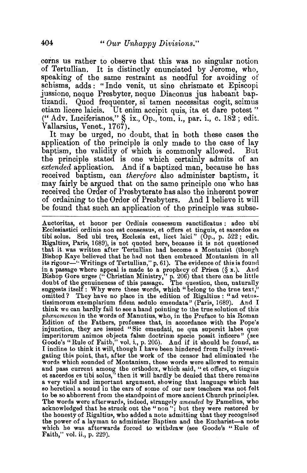cerns us rather to observe that this was no singular notion of Tertullian. It is distinctly enunciated by Jerome, who, speaking of the same restraint as needful for avoiding of schisms, adds : " Inde venit, ut sine chrismate et Episcopi jussione, neque Presbyter, neque Diaconus jus habeant baptizandi. Quod frequenter, si tamen necessitas cogit, scimus etiam licere laicis. Ut enim accipit quis, ita et dare potest" (" Adv. Luciferianos,"  $\hat{\mathbf{S}}$  ix., Op., tom. i., par. i., c. 182; edit. Vallarsius, Venet., 1767).

It may be urged, no doubt, that in both these cases the application of the principle is only made to the case of lay baptism, the validity of which is commonly allowed. But the principle stated is one which certainly admits of an *extended* application. And if a baptized man, because he bas received baptism, can *therefore* also administer baptism, it may fairly be argued that on the same principle one who has received the Order of Presbyterate has also the inherent power of ordaining to the Order of Presbyters. And I believe it will be found that such an application of the principle was subse-

Auctoritas, et honor per Ordinis consessum sanctificatus : adeo ubi Ecclesiastici ordinis non est consessus, et offers et tinguis, et sacerdos es tibi solus. Sed ubi tres, Ecclesia est, licet laici" (Op., p. 522 ; edit. Rigaltius, Paris, 1689), is not quoted here, because it is not questioned that it. was written after Tertullian had become a Montanist (though Bishop Kaye believed that he had not then embraced Montanism in all its rigour-" Writings of Tertullian," p. 61). The evidence of this is found in a passage where appeal is made to a prophecy of Prisca (§ x.). Aud Bishop Gore urges ("Christian Ministry," p. 206) that there can be little doubt of the genuineness of this passage. The question, then, naturally suggests itself: Why were these words, which "belong to the true text," omitted? They have no place in the edition of Rigaltius : "ad vetustissimorum exemplarium fidem sedulo emendata" (Paris, 1689). And I think we can hardly fail to see a hand pointing to the true solution of this *phamomenon* in the words of Manutius, who, in the Preface to his Roman Edition of the Fathers, professes that, in accordance with the Pope's injunction, they are issued "Sic emendati, ne qua supersit labes quæ imperitorum animos objecta falsæ doctrinæ specie possit inficere" (see Goode's "Rule of Faith," vol. i., p. 205). And if it should be found, as I incline to think it will, though I have been hindered from fully investigating this point, that, after the work of the censor had eliminated the words which sounded of Montanism, these words were allowed to remain and pass current among the orthodox, which said, "et offers, et tinguis et sacerdos es tibi solus,'' then it will hardly be denied that there remains a very valid and important argument, showing that language which has a very valid and important argument, showing that language which has so heretical a sound in the ears of some of our new teachers was not felt to be so abhorrent from the standpoint of more ancient Church principles. The words were afterwards, indeed, strangely *amended* by Pamelius, who acknowledged that he struck out the "non"; but they were restored by the honesty of Rigaltius, who added a note admitting that they recognised the power of a layman to administer Baptism and the Eucharist-a note which he was afterwards forced to withdraw (see Goode's "Rule of Faith," vol. ii., p. 229).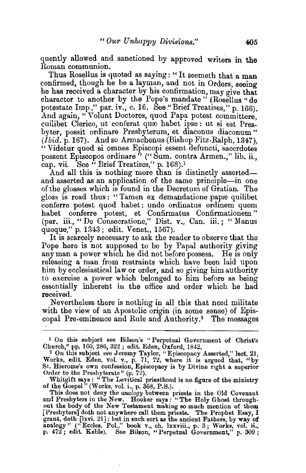quently allowed and sanctioned by approved writers in the Roman communion.

Thus Rosellus is quoted as saying: "It seemeth that a man confirmed, though he be a layman, and not in Orders, seeing he has received a character by his confirmation, may aive that character to another by the Pope's mandate " (Rosellus "de potestate Imp.," par. iv., c. 16. See "Brief Treatises," p. 166). And again, " Volunt Doctores, quod Papa potest committere, cuilibet Clerico, ut conferat qure habet ipse: ut si est Presbyter, possit ordinare Presbyterum, et diaconus diaconum" *(Ibid.* p. 167}. And so Armachenus (Bishop Fitz-Ralph, 1347), "Videtur quod si omnes Episcopi essent defuncti, sacerdotes possent Episcopos ordinare" ("Sum. contra Armen.," lib. ii., cap. vii. See  $^{6}$  Brief Treatises," p. 168).<sup>1</sup>

And all this is nothing more than is distinctly assertedand asserted as an application of the same principle-in one of the glosses which Is found in the Decretum of Gratian. The gloss is read thus: "Tamen ex demandatione pape quilibet conferre potest quod habet: unde ordinatus ordinem quem habet conferre potest, et Confirmatus Confirmationem " (par. iii., "De Consecratione," Dist. v., Can. iii. ; "Manus quoque," p. 1343; edit. Venet., 1567).

It is scarcely necessary to ask the reader to observe that the Pope here is not supposed to be by Papal authority giving any man a power which he did not before possess. He is only releasing a man from restraints which have been laid upon him by ecclesiastical law or order, and so giving him authority to exercise a power which belonged to him before as being essentially inherent iu the office and order which he had received.

Nevertheless there is nothing in all this that need militate with the view of an Apostolic origin (in some sense) of Episcopal Pre-eminence and Rule and Authority.2 The messages

Whitgift says: "The Levitical priesthood is no figure of the ministry of the Gospel" (Works, vol. i., p. 368, P.S.).

This does not deny the *analogy* between priests in the Old Covenant and Presbyters in the New. Hooker says: "The Holy Ghost throughout the body of the New Testament making so much mention of them [Presbyters] doth not anywhere call them priests. The Prophet Esay, I grant, doth (lxvi. 21] ; but in such sort as the ancient Fathers, by way of analogy'' ("Eccles. Pol.," book v., ch. l.xxviii., p. 3; Works, vol. ii., p. 472; edit. Keble). See Bilson, "Perpetual Government," p. 309;

<sup>&</sup>lt;sup>1</sup> On this subject see Bilson's "Perpetual Government of Christ's

Church," pp. 160, 286, 322; edit. Eden, Oxford, 1842. *<sup>2</sup>*On this subject see Jeremy Taylor, "Episcopacy Asserted," lect. 21, Works, edit. Eden, vol. v., p. 71, 72, where it is argued that, "by St. Hierome's own confession, Episcopacy is by Divine right a superior Order to the Presbyterate"  $(p, 72)$ .